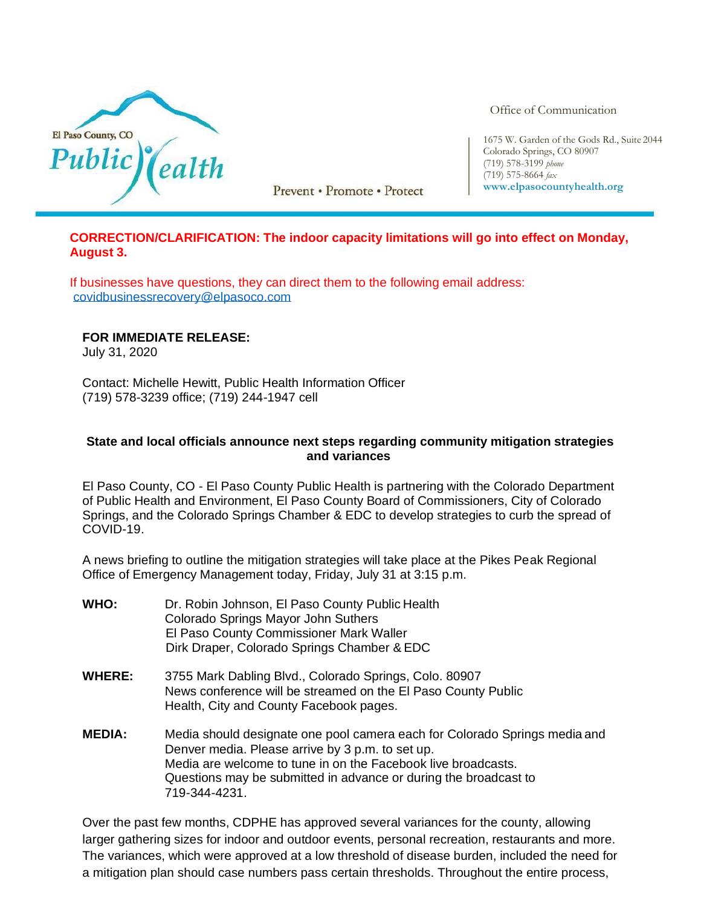

Prevent • Promote • Protect

Office of Communication

1675 W. Garden of the Gods Rd., Suite 2044 Colorado Springs, CO 80907 (719) 578-3199 *phone* (719) 575-8664 *fax* **[www.elpasocountyhealth.org](http://www.elpasocountyhealth.org/)**

## **CORRECTION/CLARIFICATION: The indoor capacity limitations will go into effect on Monday, August 3.**

If businesses have questions, they can direct them to the following email address: [covidbusinessrecovery@elpasoco.com](mailto:covidbusinessrecovery@elpasoco.com)

## **FOR IMMEDIATE RELEASE:**

July 31, 2020

Contact: Michelle Hewitt, Public Health Information Officer (719) 578-3239 office; (719) 244-1947 cell

## **State and local officials announce next steps regarding community mitigation strategies and variances**

El Paso County, CO - El Paso County Public Health is partnering with the Colorado Department of Public Health and Environment, El Paso County Board of Commissioners, City of Colorado Springs, and the Colorado Springs Chamber & EDC to develop strategies to curb the spread of COVID-19.

A news briefing to outline the mitigation strategies will take place at the Pikes Peak Regional Office of Emergency Management today, Friday, July 31 at 3:15 p.m.

- **WHO:** Dr. Robin Johnson, El Paso County Public Health Colorado Springs Mayor John Suthers El Paso County Commissioner Mark Waller Dirk Draper, Colorado Springs Chamber & EDC
- **WHERE:** 3755 Mark Dabling Blvd., Colorado Springs, Colo. 80907 News conference will be streamed on the El Paso County Public Health, City and County Facebook pages.
- **MEDIA:** Media should designate one pool camera each for Colorado Springs media and Denver media. Please arrive by 3 p.m. to set up. Media are welcome to tune in on the Facebook live broadcasts. Questions may be submitted in advance or during the broadcast to 719-344-4231.

Over the past few months, CDPHE has approved several variances for the county, allowing larger gathering sizes for indoor and outdoor events, personal recreation, restaurants and more. The variances, which were approved at a low threshold of disease burden, included the need for a mitigation plan should case numbers pass certain thresholds. Throughout the entire process,